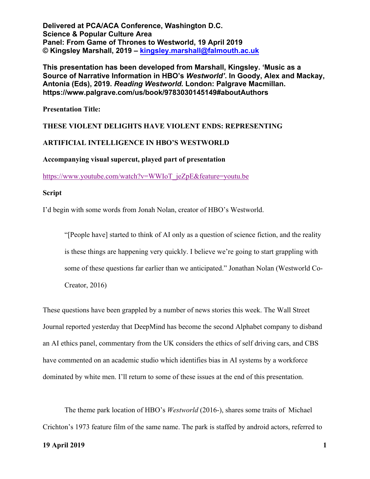**This presentation has been developed from Marshall, Kingsley. 'Music as a Source of Narrative Information in HBO's** *Westworld'***. In Goody, Alex and Mackay, Antonia (Eds), 2019.** *Reading Westworld.* **London: Palgrave Macmillan. https://www.palgrave.com/us/book/9783030145149#aboutAuthors**

**Presentation Title:**

#### **THESE VIOLENT DELIGHTS HAVE VIOLENT ENDS: REPRESENTING**

#### **ARTIFICIAL INTELLIGENCE IN HBO'S WESTWORLD**

**Accompanying visual supercut, played part of presentation**

https://www.youtube.com/watch?v=WWIoT\_jeZpE&feature=youtu.be

#### **Script**

I'd begin with some words from Jonah Nolan, creator of HBO's Westworld.

"[People have] started to think of AI only as a question of science fiction, and the reality is these things are happening very quickly. I believe we're going to start grappling with some of these questions far earlier than we anticipated." Jonathan Nolan (Westworld Co-Creator, 2016)

These questions have been grappled by a number of news stories this week. The Wall Street Journal reported yesterday that DeepMind has become the second Alphabet company to disband an AI ethics panel, commentary from the UK considers the ethics of self driving cars, and CBS have commented on an academic studio which identifies bias in AI systems by a workforce dominated by white men. I'll return to some of these issues at the end of this presentation.

The theme park location of HBO's *Westworld* (2016-), shares some traits of Michael Crichton's 1973 feature film of the same name. The park is staffed by android actors, referred to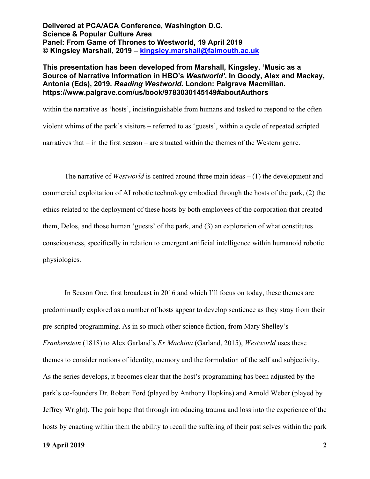## **This presentation has been developed from Marshall, Kingsley. 'Music as a Source of Narrative Information in HBO's** *Westworld'***. In Goody, Alex and Mackay, Antonia (Eds), 2019.** *Reading Westworld.* **London: Palgrave Macmillan. https://www.palgrave.com/us/book/9783030145149#aboutAuthors**

within the narrative as 'hosts', indistinguishable from humans and tasked to respond to the often violent whims of the park's visitors – referred to as 'guests', within a cycle of repeated scripted narratives that – in the first season – are situated within the themes of the Western genre.

The narrative of *Westworld* is centred around three main ideas – (1) the development and commercial exploitation of AI robotic technology embodied through the hosts of the park, (2) the ethics related to the deployment of these hosts by both employees of the corporation that created them, Delos, and those human 'guests' of the park, and (3) an exploration of what constitutes consciousness, specifically in relation to emergent artificial intelligence within humanoid robotic physiologies.

In Season One, first broadcast in 2016 and which I'll focus on today, these themes are predominantly explored as a number of hosts appear to develop sentience as they stray from their pre-scripted programming. As in so much other science fiction, from Mary Shelley's *Frankenstein* (1818) to Alex Garland's *Ex Machina* (Garland, 2015), *Westworld* uses these themes to consider notions of identity, memory and the formulation of the self and subjectivity. As the series develops, it becomes clear that the host's programming has been adjusted by the park's co-founders Dr. Robert Ford (played by Anthony Hopkins) and Arnold Weber (played by Jeffrey Wright). The pair hope that through introducing trauma and loss into the experience of the hosts by enacting within them the ability to recall the suffering of their past selves within the park

#### **19 April 2019 2**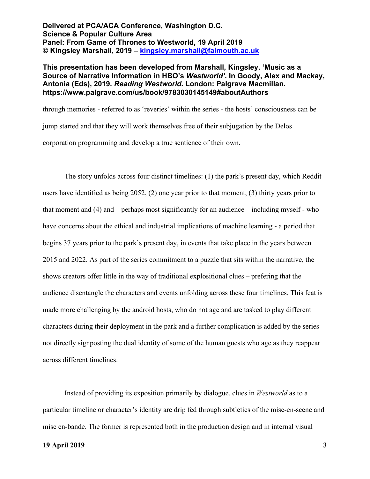### **This presentation has been developed from Marshall, Kingsley. 'Music as a Source of Narrative Information in HBO's** *Westworld'***. In Goody, Alex and Mackay, Antonia (Eds), 2019.** *Reading Westworld.* **London: Palgrave Macmillan. https://www.palgrave.com/us/book/9783030145149#aboutAuthors**

through memories - referred to as 'reveries' within the series - the hosts' consciousness can be jump started and that they will work themselves free of their subjugation by the Delos corporation programming and develop a true sentience of their own.

The story unfolds across four distinct timelines: (1) the park's present day, which Reddit users have identified as being 2052, (2) one year prior to that moment, (3) thirty years prior to that moment and (4) and – perhaps most significantly for an audience – including myself - who have concerns about the ethical and industrial implications of machine learning - a period that begins 37 years prior to the park's present day, in events that take place in the years between 2015 and 2022. As part of the series commitment to a puzzle that sits within the narrative, the shows creators offer little in the way of traditional explositional clues – prefering that the audience disentangle the characters and events unfolding across these four timelines. This feat is made more challenging by the android hosts, who do not age and are tasked to play different characters during their deployment in the park and a further complication is added by the series not directly signposting the dual identity of some of the human guests who age as they reappear across different timelines.

Instead of providing its exposition primarily by dialogue, clues in *Westworld* as to a particular timeline or character's identity are drip fed through subtleties of the mise-en-scene and mise en-bande. The former is represented both in the production design and in internal visual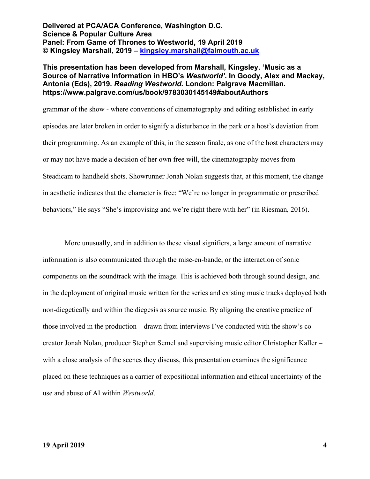## **This presentation has been developed from Marshall, Kingsley. 'Music as a Source of Narrative Information in HBO's** *Westworld'***. In Goody, Alex and Mackay, Antonia (Eds), 2019.** *Reading Westworld.* **London: Palgrave Macmillan. https://www.palgrave.com/us/book/9783030145149#aboutAuthors**

grammar of the show - where conventions of cinematography and editing established in early episodes are later broken in order to signify a disturbance in the park or a host's deviation from their programming. As an example of this, in the season finale, as one of the host characters may or may not have made a decision of her own free will, the cinematography moves from Steadicam to handheld shots. Showrunner Jonah Nolan suggests that, at this moment, the change in aesthetic indicates that the character is free: "We're no longer in programmatic or prescribed behaviors," He says "She's improvising and we're right there with her" (in Riesman, 2016).

More unusually, and in addition to these visual signifiers, a large amount of narrative information is also communicated through the mise-en-bande, or the interaction of sonic components on the soundtrack with the image. This is achieved both through sound design, and in the deployment of original music written for the series and existing music tracks deployed both non-diegetically and within the diegesis as source music. By aligning the creative practice of those involved in the production – drawn from interviews I've conducted with the show's cocreator Jonah Nolan, producer Stephen Semel and supervising music editor Christopher Kaller – with a close analysis of the scenes they discuss, this presentation examines the significance placed on these techniques as a carrier of expositional information and ethical uncertainty of the use and abuse of AI within *Westworld*.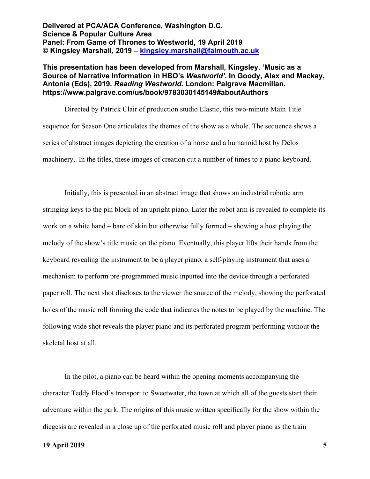## **This presentation has been developed from Marshall, Kingsley. 'Music as a Source of Narrative Information in HBO's** *Westworld'***. In Goody, Alex and Mackay, Antonia (Eds), 2019.** *Reading Westworld.* **London: Palgrave Macmillan. https://www.palgrave.com/us/book/9783030145149#aboutAuthors**

Directed by Patrick Clair of production studio Elastic, this two-minute Main Title sequence for Season One articulates the themes of the show as a whole. The sequence shows a series of abstract images depicting the creation of a horse and a humanoid host by Delos machinery.. In the titles, these images of creation cut a number of times to a piano keyboard.

Initially, this is presented in an abstract image that shows an industrial robotic arm stringing keys to the pin block of an upright piano. Later the robot arm is revealed to complete its work on a white hand – bare of skin but otherwise fully formed – showing a host playing the melody of the show's title music on the piano. Eventually, this player lifts their hands from the keyboard revealing the instrument to be a player piano, a self-playing instrument that uses a mechanism to perform pre-programmed music inputted into the device through a perforated paper roll. The next shot discloses to the viewer the source of the melody, showing the perforated holes of the music roll forming the code that indicates the notes to be played by the machine. The following wide shot reveals the player piano and its perforated program performing without the skeletal host at all.

In the pilot, a piano can be heard within the opening moments accompanying the character Teddy Flood's transport to Sweetwater, the town at which all of the guests start their adventure within the park. The origins of this music written specifically for the show within the diegesis are revealed in a close up of the perforated music roll and player piano as the train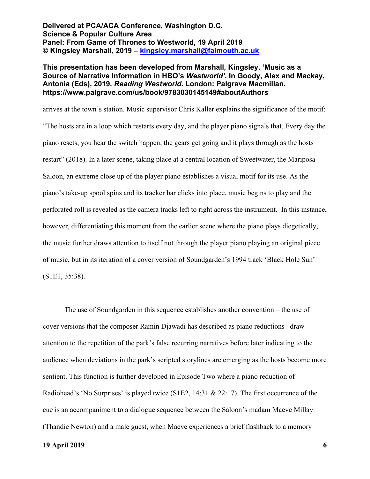**This presentation has been developed from Marshall, Kingsley. 'Music as a Source of Narrative Information in HBO's** *Westworld'***. In Goody, Alex and Mackay, Antonia (Eds), 2019.** *Reading Westworld.* **London: Palgrave Macmillan. https://www.palgrave.com/us/book/9783030145149#aboutAuthors**

arrives at the town's station. Music supervisor Chris Kaller explains the significance of the motif: "The hosts are in a loop which restarts every day, and the player piano signals that. Every day the piano resets, you hear the switch happen, the gears get going and it plays through as the hosts restart" (2018). In a later scene, taking place at a central location of Sweetwater, the Mariposa Saloon, an extreme close up of the player piano establishes a visual motif for its use. As the piano's take-up spool spins and its tracker bar clicks into place, music begins to play and the perforated roll is revealed as the camera tracks left to right across the instrument. In this instance, however, differentiating this moment from the earlier scene where the piano plays diegetically, the music further draws attention to itself not through the player piano playing an original piece of music, but in its iteration of a cover version of Soundgarden's 1994 track 'Black Hole Sun' (S1E1, 35:38).

The use of Soundgarden in this sequence establishes another convention – the use of cover versions that the composer Ramin Djawadi has described as piano reductions– draw attention to the repetition of the park's false recurring narratives before later indicating to the audience when deviations in the park's scripted storylines are emerging as the hosts become more sentient. This function is further developed in Episode Two where a piano reduction of Radiohead's 'No Surprises' is played twice (S1E2, 14:31 & 22:17). The first occurrence of the cue is an accompaniment to a dialogue sequence between the Saloon's madam Maeve Millay (Thandie Newton) and a male guest, when Maeve experiences a brief flashback to a memory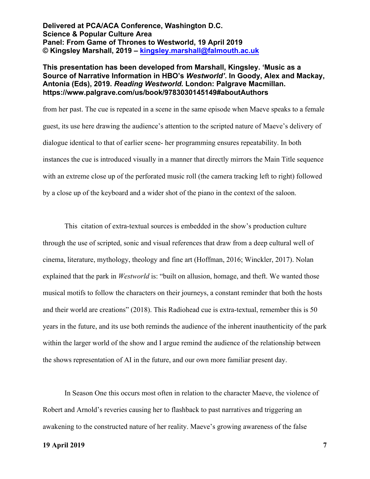## **This presentation has been developed from Marshall, Kingsley. 'Music as a Source of Narrative Information in HBO's** *Westworld'***. In Goody, Alex and Mackay, Antonia (Eds), 2019.** *Reading Westworld.* **London: Palgrave Macmillan. https://www.palgrave.com/us/book/9783030145149#aboutAuthors**

from her past. The cue is repeated in a scene in the same episode when Maeve speaks to a female guest, its use here drawing the audience's attention to the scripted nature of Maeve's delivery of dialogue identical to that of earlier scene- her programming ensures repeatability. In both instances the cue is introduced visually in a manner that directly mirrors the Main Title sequence with an extreme close up of the perforated music roll (the camera tracking left to right) followed by a close up of the keyboard and a wider shot of the piano in the context of the saloon.

This citation of extra-textual sources is embedded in the show's production culture through the use of scripted, sonic and visual references that draw from a deep cultural well of cinema, literature, mythology, theology and fine art (Hoffman, 2016; Winckler, 2017). Nolan explained that the park in *Westworld* is: "built on allusion, homage, and theft. We wanted those musical motifs to follow the characters on their journeys, a constant reminder that both the hosts and their world are creations" (2018). This Radiohead cue is extra-textual, remember this is 50 years in the future, and its use both reminds the audience of the inherent inauthenticity of the park within the larger world of the show and I argue remind the audience of the relationship between the shows representation of AI in the future, and our own more familiar present day.

In Season One this occurs most often in relation to the character Maeve, the violence of Robert and Arnold's reveries causing her to flashback to past narratives and triggering an awakening to the constructed nature of her reality. Maeve's growing awareness of the false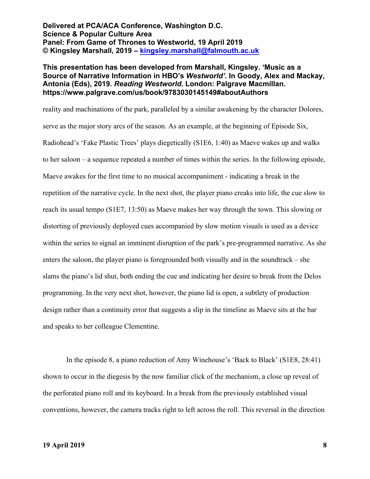## **This presentation has been developed from Marshall, Kingsley. 'Music as a Source of Narrative Information in HBO's** *Westworld'***. In Goody, Alex and Mackay, Antonia (Eds), 2019.** *Reading Westworld.* **London: Palgrave Macmillan. https://www.palgrave.com/us/book/9783030145149#aboutAuthors**

reality and machinations of the park, paralleled by a similar awakening by the character Dolores, serve as the major story arcs of the season. As an example, at the beginning of Episode Six, Radiohead's 'Fake Plastic Trees' plays diegetically (S1E6, 1:40) as Maeve wakes up and walks to her saloon – a sequence repeated a number of times within the series. In the following episode, Maeve awakes for the first time to no musical accompaniment - indicating a break in the repetition of the narrative cycle. In the next shot, the player piano creaks into life, the cue slow to reach its usual tempo (S1E7, 13:50) as Maeve makes her way through the town. This slowing or distorting of previously deployed cues accompanied by slow motion visuals is used as a device within the series to signal an imminent disruption of the park's pre-programmed narrative. As she enters the saloon, the player piano is foregrounded both visually and in the soundtrack – she slams the piano's lid shut, both ending the cue and indicating her desire to break from the Delos programming. In the very next shot, however, the piano lid is open, a subtlety of production design rather than a continuity error that suggests a slip in the timeline as Maeve sits at the bar and speaks to her colleague Clementine.

In the episode 8, a piano reduction of Amy Winehouse's 'Back to Black' (S1E8, 28:41) shown to occur in the diegesis by the now familiar click of the mechanism, a close up reveal of the perforated piano roll and its keyboard. In a break from the previously established visual conventions, however, the camera tracks right to left across the roll. This reversal in the direction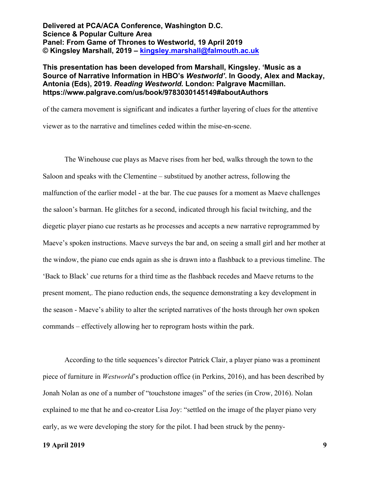## **This presentation has been developed from Marshall, Kingsley. 'Music as a Source of Narrative Information in HBO's** *Westworld'***. In Goody, Alex and Mackay, Antonia (Eds), 2019.** *Reading Westworld.* **London: Palgrave Macmillan. https://www.palgrave.com/us/book/9783030145149#aboutAuthors**

of the camera movement is significant and indicates a further layering of clues for the attentive viewer as to the narrative and timelines ceded within the mise-en-scene.

The Winehouse cue plays as Maeve rises from her bed, walks through the town to the Saloon and speaks with the Clementine – substitued by another actress, following the malfunction of the earlier model - at the bar. The cue pauses for a moment as Maeve challenges the saloon's barman. He glitches for a second, indicated through his facial twitching, and the diegetic player piano cue restarts as he processes and accepts a new narrative reprogrammed by Maeve's spoken instructions. Maeve surveys the bar and, on seeing a small girl and her mother at the window, the piano cue ends again as she is drawn into a flashback to a previous timeline. The 'Back to Black' cue returns for a third time as the flashback recedes and Maeve returns to the present moment,. The piano reduction ends, the sequence demonstrating a key development in the season - Maeve's ability to alter the scripted narratives of the hosts through her own spoken commands – effectively allowing her to reprogram hosts within the park.

According to the title sequences's director Patrick Clair, a player piano was a prominent piece of furniture in *Westworld*'s production office (in Perkins, 2016), and has been described by Jonah Nolan as one of a number of "touchstone images" of the series (in Crow, 2016). Nolan explained to me that he and co-creator Lisa Joy: "settled on the image of the player piano very early, as we were developing the story for the pilot. I had been struck by the penny-

#### **19 April 2019 9**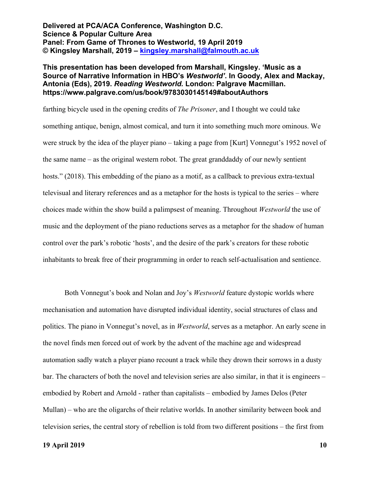## **This presentation has been developed from Marshall, Kingsley. 'Music as a Source of Narrative Information in HBO's** *Westworld'***. In Goody, Alex and Mackay, Antonia (Eds), 2019.** *Reading Westworld.* **London: Palgrave Macmillan. https://www.palgrave.com/us/book/9783030145149#aboutAuthors**

farthing bicycle used in the opening credits of *The Prisoner*, and I thought we could take something antique, benign, almost comical, and turn it into something much more ominous. We were struck by the idea of the player piano – taking a page from [Kurt] Vonnegut's 1952 novel of the same name – as the original western robot. The great granddaddy of our newly sentient hosts." (2018). This embedding of the piano as a motif, as a callback to previous extra-textual televisual and literary references and as a metaphor for the hosts is typical to the series – where choices made within the show build a palimpsest of meaning. Throughout *Westworld* the use of music and the deployment of the piano reductions serves as a metaphor for the shadow of human control over the park's robotic 'hosts', and the desire of the park's creators for these robotic inhabitants to break free of their programming in order to reach self-actualisation and sentience.

Both Vonnegut's book and Nolan and Joy's *Westworld* feature dystopic worlds where mechanisation and automation have disrupted individual identity, social structures of class and politics. The piano in Vonnegut's novel, as in *Westworld*, serves as a metaphor. An early scene in the novel finds men forced out of work by the advent of the machine age and widespread automation sadly watch a player piano recount a track while they drown their sorrows in a dusty bar. The characters of both the novel and television series are also similar, in that it is engineers – embodied by Robert and Arnold - rather than capitalists – embodied by James Delos (Peter Mullan) – who are the oligarchs of their relative worlds. In another similarity between book and television series, the central story of rebellion is told from two different positions – the first from

#### **19 April 2019 10**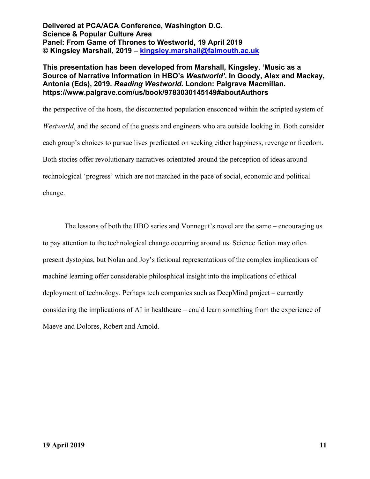## **This presentation has been developed from Marshall, Kingsley. 'Music as a Source of Narrative Information in HBO's** *Westworld'***. In Goody, Alex and Mackay, Antonia (Eds), 2019.** *Reading Westworld.* **London: Palgrave Macmillan. https://www.palgrave.com/us/book/9783030145149#aboutAuthors**

the perspective of the hosts, the discontented population ensconced within the scripted system of *Westworld*, and the second of the guests and engineers who are outside looking in. Both consider each group's choices to pursue lives predicated on seeking either happiness, revenge or freedom. Both stories offer revolutionary narratives orientated around the perception of ideas around technological 'progress' which are not matched in the pace of social, economic and political change.

The lessons of both the HBO series and Vonnegut's novel are the same – encouraging us to pay attention to the technological change occurring around us. Science fiction may often present dystopias, but Nolan and Joy's fictional representations of the complex implications of machine learning offer considerable philosphical insight into the implications of ethical deployment of technology. Perhaps tech companies such as DeepMind project – currently considering the implications of AI in healthcare – could learn something from the experience of Maeve and Dolores, Robert and Arnold.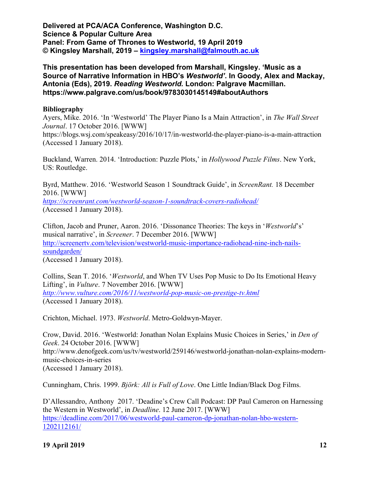**This presentation has been developed from Marshall, Kingsley. 'Music as a Source of Narrative Information in HBO's** *Westworld'***. In Goody, Alex and Mackay, Antonia (Eds), 2019.** *Reading Westworld.* **London: Palgrave Macmillan. https://www.palgrave.com/us/book/9783030145149#aboutAuthors**

# **Bibliography**

Ayers, Mike. 2016. 'In 'Westworld' The Player Piano Is a Main Attraction', in *The Wall Street Journal*. 17 October 2016. [WWW] https://blogs.wsj.com/speakeasy/2016/10/17/in-westworld-the-player-piano-is-a-main-attraction (Accessed 1 January 2018).

Buckland, Warren. 2014. 'Introduction: Puzzle Plots,' in *Hollywood Puzzle Films*. New York, US: Routledge.

Byrd, Matthew. 2016. 'Westworld Season 1 Soundtrack Guide', in *ScreenRant.* 18 December 2016. [WWW] *https://screenrant.com/westworld-season-1-soundtrack-covers-radiohead/* (Accessed 1 January 2018).

Clifton, Jacob and Pruner, Aaron. 2016. 'Dissonance Theories: The keys in '*Westworld*'s' musical narrative', in *Screener*. 7 December 2016. [WWW] http://screenertv.com/television/westworld-music-importance-radiohead-nine-inch-nailssoundgarden/ (Accessed 1 January 2018).

Collins, Sean T. 2016. '*Westworld*, and When TV Uses Pop Music to Do Its Emotional Heavy Lifting', in *Vulture*. 7 November 2016. [WWW] *http://www.vulture.com/2016/11/westworld-pop-music-on-prestige-tv.html* (Accessed 1 January 2018).

Crichton, Michael. 1973. *Westworld*. Metro-Goldwyn-Mayer.

Crow, David. 2016. 'Westworld: Jonathan Nolan Explains Music Choices in Series,' in *Den of Geek*. 24 October 2016. [WWW] http://www.denofgeek.com/us/tv/westworld/259146/westworld-jonathan-nolan-explains-modernmusic-choices-in-series (Accessed 1 January 2018).

Cunningham, Chris. 1999. *Björk: All is Full of Love*. One Little Indian/Black Dog Films.

D'Allessandro, Anthony 2017. 'Deadine's Crew Call Podcast: DP Paul Cameron on Harnessing the Western in Westworld', in *Deadline*. 12 June 2017. [WWW] https://deadline.com/2017/06/westworld-paul-cameron-dp-jonathan-nolan-hbo-western-1202112161/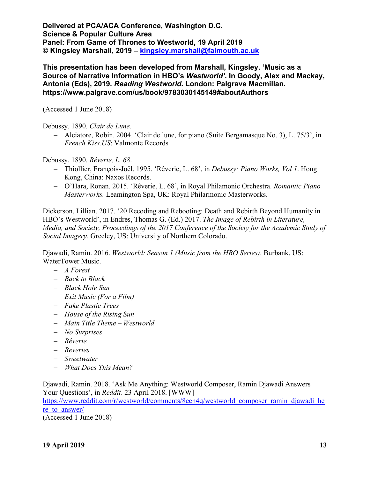**This presentation has been developed from Marshall, Kingsley. 'Music as a Source of Narrative Information in HBO's** *Westworld'***. In Goody, Alex and Mackay, Antonia (Eds), 2019.** *Reading Westworld.* **London: Palgrave Macmillan. https://www.palgrave.com/us/book/9783030145149#aboutAuthors**

(Accessed 1 June 2018)

Debussy. 1890. *Clair de Lune.*

- Alciatore, Robin. 2004. 'Clair de lune, for piano (Suite Bergamasque No. 3), L. 75/3', in *French Kiss.US*: Valmonte Records

Debussy. 1890. *Rêverie, L. 68*.

- Thiollier, François-Joël. 1995. 'Rêverie, L. 68', in *Debussy: Piano Works, Vol 1*. Hong Kong, China: Naxos Records.
- O'Hara, Ronan. 2015. 'Rêverie, L. 68', in Royal Philamonic Orchestra. *Romantic Piano Masterworks.* Leamington Spa, UK: Royal Philarmonic Masterworks.

Dickerson, Lillian. 2017. '20 Recoding and Rebooting: Death and Rebirth Beyond Humanity in HBO's Westworld', in Endres, Thomas G. (Ed.) 2017. *The Image of Rebirth in Literature, Media, and Society, Proceedings of the 2017 Conference of the Society for the Academic Study of Social Imagery*. Greeley, US: University of Northern Colorado.

Djawadi, Ramin. 2016. *Westworld: Season 1 (Music from the HBO Series)*. Burbank, US: WaterTower Music.

- *A Forest*
- *Back to Black*
- *Black Hole Sun*
- *Exit Music (For a Film)*
- *Fake Plastic Trees*
- *House of the Rising Sun*
- *Main Title Theme – Westworld*
- *No Surprises*
- *Rêverie*
- *Reveries*
- *Sweetwater*
- *What Does This Mean?*

Djawadi, Ramin. 2018. 'Ask Me Anything: Westworld Composer, Ramin Djawadi Answers Your Questions', in *Reddit*. 23 April 2018. [WWW]

https://www.reddit.com/r/westworld/comments/8ecn4q/westworld\_composer\_ramin\_djawadi\_he re to answer/

(Accessed 1 June 2018)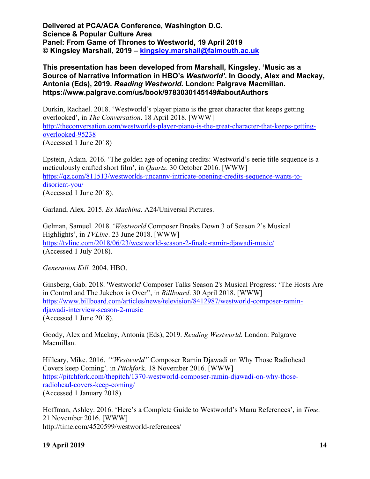**This presentation has been developed from Marshall, Kingsley. 'Music as a Source of Narrative Information in HBO's** *Westworld'***. In Goody, Alex and Mackay, Antonia (Eds), 2019.** *Reading Westworld.* **London: Palgrave Macmillan. https://www.palgrave.com/us/book/9783030145149#aboutAuthors**

Durkin, Rachael. 2018. 'Westworld's player piano is the great character that keeps getting overlooked', in *The Conversation*. 18 April 2018. [WWW] http://theconversation.com/westworlds-player-piano-is-the-great-character-that-keeps-gettingoverlooked-95238 (Accessed 1 June 2018)

Epstein, Adam. 2016. 'The golden age of opening credits: Westworld's eerie title sequence is a meticulously crafted short film', in *Quartz*. 30 October 2016. [WWW] https://qz.com/811513/westworlds-uncanny-intricate-opening-credits-sequence-wants-todisorient-you/ (Accessed 1 June 2018).

Garland, Alex. 2015. *Ex Machina*. A24/Universal Pictures.

Gelman, Samuel. 2018. '*Westworld* Composer Breaks Down 3 of Season 2's Musical Highlights', in *TVLine*. 23 June 2018. [WWW] https://tvline.com/2018/06/23/westworld-season-2-finale-ramin-djawadi-music/ (Accessed 1 July 2018).

*Generation Kill.* 2004. HBO.

Ginsberg, Gab. 2018. 'Westworld' Composer Talks Season 2's Musical Progress: 'The Hosts Are in Control and The Jukebox is Over'', in *Billboard*. 30 April 2018. [WWW] https://www.billboard.com/articles/news/television/8412987/westworld-composer-ramindjawadi-interview-season-2-music (Accessed 1 June 2018).

Goody, Alex and Mackay, Antonia (Eds), 2019. *Reading Westworld.* London: Palgrave Macmillan.

Hilleary, Mike. 2016. *'"Westworld"* Composer Ramin Djawadi on Why Those Radiohead Covers keep Coming'*,* in *Pitchfor*k. 18 November 2016. [WWW] https://pitchfork.com/thepitch/1370-westworld-composer-ramin-djawadi-on-why-thoseradiohead-covers-keep-coming/ (Accessed 1 January 2018).

Hoffman, Ashley. 2016. 'Here's a Complete Guide to Westworld's Manu References', in *Time*. 21 November 2016. [WWW] http://time.com/4520599/westworld-references/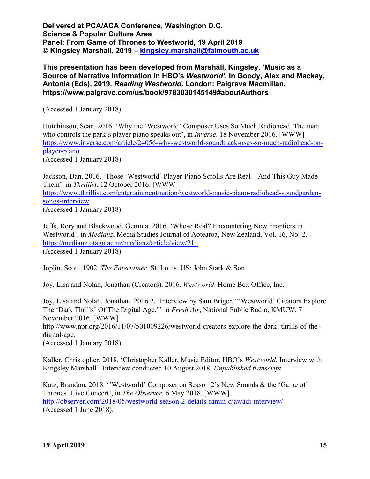**This presentation has been developed from Marshall, Kingsley. 'Music as a Source of Narrative Information in HBO's** *Westworld'***. In Goody, Alex and Mackay, Antonia (Eds), 2019.** *Reading Westworld.* **London: Palgrave Macmillan. https://www.palgrave.com/us/book/9783030145149#aboutAuthors**

(Accessed 1 January 2018).

Hutchinson, Sean. 2016. 'Why the 'Westworld' Composer Uses So Much Radiohead. The man who controls the park's player piano speaks out', in *Inverse*. 18 November 2016. [WWW] https://www.inverse.com/article/24056-why-westworld-soundtrack-uses-so-much-radiohead-onplayer-piano

(Accessed 1 January 2018).

Jackson, Dan. 2016. 'Those 'Westworld' Player-Piano Scrolls Are Real – And This Guy Made Them', in *Thrillist*. 12 October 2016. [WWW] https://www.thrillist.com/entertainment/nation/westworld-music-piano-radiohead-soundgardensongs-interview (Accessed 1 January 2018).

Jeffs, Rory and Blackwood, Gemma. 2016. 'Whose Real? Encountering New Frontiers in Westworld', in *Medianz*, Media Studies Journal of Aotearoa, New Zealand, Vol. 16, No. 2. https://medianz.otago.ac.nz/medianz/article/view/211 (Accessed 1 January 2018).

Joplin, Scott. 1902. *The Entertainer.* St. Louis, US: John Stark & Son.

Joy, Lisa and Nolan, Jonathan (Creators). 2016. *Westworld*. Home Box Office, Inc.

Joy, Lisa and Nolan, Jonathan. 2016.2. 'Interview by Sam Briger. "'Westworld' Creators Explore The 'Dark Thrills' Of The Digital Age,"' in *Fresh Air*, National Public Radio, KMUW. 7 November 2016. [WWW] http://www.npr.org/2016/11/07/501009226/westworld-creators-explore-the-dark -thrills-of-thedigital-age. (Accessed 1 January 2018).

Kaller, Christopher. 2018. 'Christopher Kaller, Music Editor, HBO's *Westworld*. Interview with Kingsley Marshall'. Interview conducted 10 August 2018. *Unpublished transcript*.

Katz, Brandon. 2018. ''Westworld' Composer on Season 2's New Sounds & the 'Game of Thrones' Live Concert', in *The Observer*. 6 May 2018. [WWW] http://observer.com/2018/05/westworld-season-2-details-ramin-djawadi-interview/ (Accessed 1 June 2018).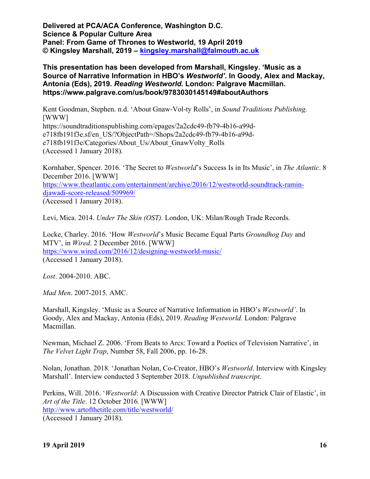# **This presentation has been developed from Marshall, Kingsley. 'Music as a Source of Narrative Information in HBO's** *Westworld'***. In Goody, Alex and Mackay, Antonia (Eds), 2019.** *Reading Westworld.* **London: Palgrave Macmillan. https://www.palgrave.com/us/book/9783030145149#aboutAuthors**

Kent Goodman, Stephen. n.d. 'About Gnaw-Vol-ty Rolls', in *Sound Traditions Publishing.*  [WWW] https://soundtraditionspublishing.com/epages/2a2cdc49-fb79-4b16-a99de718fb191f3e.sf/en\_US/?ObjectPath=/Shops/2a2cdc49-fb79-4b16-a99de718fb191f3e/Categories/About\_Us/About\_GnawVolty\_Rolls (Accessed 1 January 2018).

Kornhaber, Spencer. 2016. 'The Secret to *Westworld*'s Success Is in Its Music', in *The Atlantic*. 8 December 2016. [WWW] https://www.theatlantic.com/entertainment/archive/2016/12/westworld-soundtrack-ramindjawadi-score-released/509969/ (Accessed 1 January 2018).

Levi, Mica. 2014. *Under The Skin (OST).* London, UK: Milan/Rough Trade Records.

Locke, Charley. 2016. 'How *Westworld*'s Music Became Equal Parts *Groundhog Day* and MTV', in *Wired*. 2 December 2016. [WWW] https://www.wired.com/2016/12/designing-westworld-music/ (Accessed 1 January 2018).

*Lost*. 2004-2010. ABC.

*Mad Men*. 2007-2015. AMC.

Marshall, Kingsley. 'Music as a Source of Narrative Information in HBO's *Westworld'*. In Goody, Alex and Mackay, Antonia (Eds), 2019. *Reading Westworld.* London: Palgrave Macmillan.

Newman, Michael Z. 2006. 'From Beats to Arcs: Toward a Poetics of Television Narrative', in *The Velvet Light Trap*, Number 58, Fall 2006, pp. 16-28.

Nolan, Jonathan. 2018. 'Jonathan Nolan, Co-Creator, HBO's *Westworld*. Interview with Kingsley Marshall'. Interview conducted 3 September 2018. *Unpublished transcript*.

Perkins, Will. 2016. '*Westworld*: A Discussion with Creative Director Patrick Clair of Elastic', in *Art of the Title*. 12 October 2016*.* [WWW] http://www.artofthetitle.com/title/westworld/ (Accessed 1 January 2018).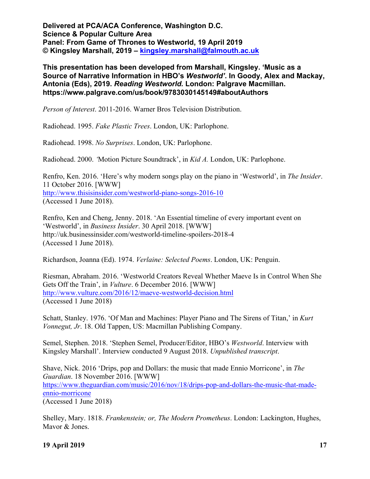**This presentation has been developed from Marshall, Kingsley. 'Music as a Source of Narrative Information in HBO's** *Westworld'***. In Goody, Alex and Mackay, Antonia (Eds), 2019.** *Reading Westworld.* **London: Palgrave Macmillan. https://www.palgrave.com/us/book/9783030145149#aboutAuthors**

*Person of Interest*. 2011-2016. Warner Bros Television Distribution.

Radiohead. 1995. *Fake Plastic Trees*. London, UK: Parlophone.

Radiohead. 1998. *No Surprises*. London, UK: Parlophone.

Radiohead. 2000. *'*Motion Picture Soundtrack', in *Kid A.* London, UK: Parlophone.

Renfro, Ken. 2016. 'Here's why modern songs play on the piano in 'Westworld', in *The Insider*. 11 October 2016. [WWW] http://www.thisisinsider.com/westworld-piano-songs-2016-10 (Accessed 1 June 2018).

Renfro, Ken and Cheng, Jenny. 2018. 'An Essential timeline of every important event on 'Westworld', in *Business Insider*. 30 April 2018. [WWW] http://uk.businessinsider.com/westworld-timeline-spoilers-2018-4 (Accessed 1 June 2018).

Richardson, Joanna (Ed). 1974. *Verlaine: Selected Poems*. London, UK: Penguin.

Riesman, Abraham. 2016. 'Westworld Creators Reveal Whether Maeve Is in Control When She Gets Off the Train', in *Vulture*. 6 December 2016. [WWW] http://www.vulture.com/2016/12/maeve-westworld-decision.html (Accessed 1 June 2018)

Schatt, Stanley. 1976. 'Of Man and Machines: Player Piano and The Sirens of Titan,' in *Kurt Vonnegut, Jr*. 18. Old Tappen, US: Macmillan Publishing Company.

Semel, Stephen. 2018. 'Stephen Semel, Producer/Editor, HBO's *Westworld*. Interview with Kingsley Marshall'. Interview conducted 9 August 2018. *Unpublished transcript*.

Shave, Nick. 2016 'Drips, pop and Dollars: the music that made Ennio Morricone', in *The Guardian*. 18 November 2016. [WWW] https://www.theguardian.com/music/2016/nov/18/drips-pop-and-dollars-the-music-that-madeennio-morricone (Accessed 1 June 2018)

Shelley, Mary. 1818. *Frankenstein; or, The Modern Prometheus*. London: Lackington, Hughes, Mavor & Jones.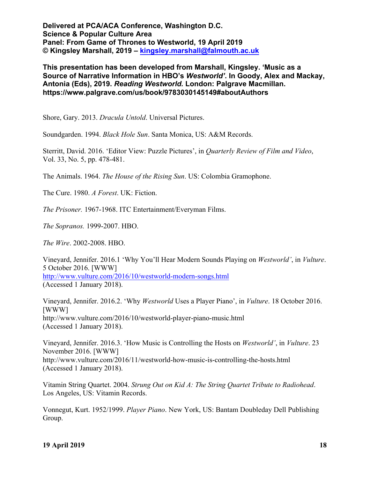**This presentation has been developed from Marshall, Kingsley. 'Music as a Source of Narrative Information in HBO's** *Westworld'***. In Goody, Alex and Mackay, Antonia (Eds), 2019.** *Reading Westworld.* **London: Palgrave Macmillan. https://www.palgrave.com/us/book/9783030145149#aboutAuthors**

Shore, Gary. 2013. *Dracula Untold*. Universal Pictures.

Soundgarden. 1994. *Black Hole Sun*. Santa Monica, US: A&M Records.

Sterritt, David. 2016. 'Editor View: Puzzle Pictures', in *Quarterly Review of Film and Video*, Vol. 33, No. 5, pp. 478-481.

The Animals. 1964. *The House of the Rising Sun*. US: Colombia Gramophone.

The Cure. 1980. *A Forest*. UK: Fiction.

*The Prisoner.* 1967-1968. ITC Entertainment/Everyman Films.

*The Sopranos.* 1999-2007. HBO.

*The Wire*. 2002-2008. HBO.

Vineyard, Jennifer. 2016.1 'Why You'll Hear Modern Sounds Playing on *Westworld'*, in *Vulture*. 5 October 2016. [WWW] http://www.vulture.com/2016/10/westworld-modern-songs.html (Accessed 1 January 2018).

Vineyard, Jennifer. 2016.2. 'Why *Westworld* Uses a Player Piano', in *Vulture*. 18 October 2016. [WWW] http://www.vulture.com/2016/10/westworld-player-piano-music.html (Accessed 1 January 2018).

Vineyard, Jennifer. 2016.3. 'How Music is Controlling the Hosts on *Westworld'*, in *Vulture*. 23 November 2016. [WWW] http://www.vulture.com/2016/11/westworld-how-music-is-controlling-the-hosts.html (Accessed 1 January 2018).

Vitamin String Quartet. 2004. *Strung Out on Kid A: The String Quartet Tribute to Radiohead*. Los Angeles, US: Vitamin Records.

Vonnegut, Kurt. 1952/1999. *Player Piano*. New York, US: Bantam Doubleday Dell Publishing Group.